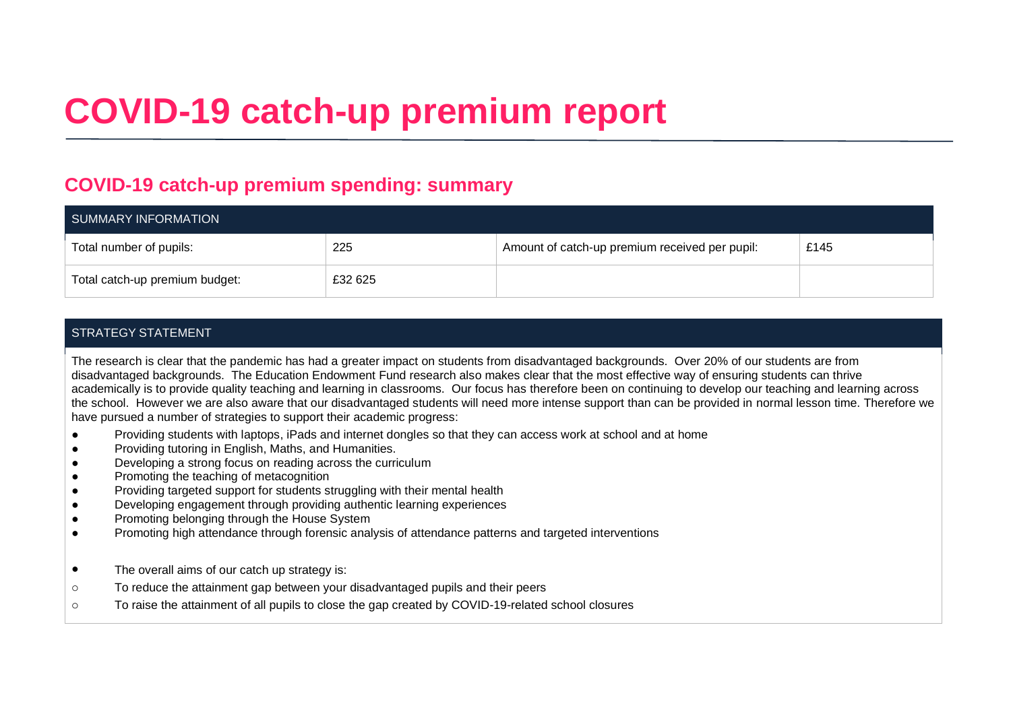# **COVID-19 catch-up premium report**

### **COVID-19 catch-up premium spending: summary**

| SUMMARY INFORMATION            |         |                                                |      |  |
|--------------------------------|---------|------------------------------------------------|------|--|
| Total number of pupils:        | 225     | Amount of catch-up premium received per pupil: | £145 |  |
| Total catch-up premium budget: | £32 625 |                                                |      |  |

#### STRATEGY STATEMENT

The research is clear that the pandemic has had a greater impact on students from disadvantaged backgrounds. Over 20% of our students are from disadvantaged backgrounds. The Education Endowment Fund research also makes clear that the most effective way of ensuring students can thrive academically is to provide quality teaching and learning in classrooms. Our focus has therefore been on continuing to develop our teaching and learning across the school. However we are also aware that our disadvantaged students will need more intense support than can be provided in normal lesson time. Therefore we have pursued a number of strategies to support their academic progress:

- Providing students with laptops, iPads and internet dongles so that they can access work at school and at home
- Providing tutoring in English, Maths, and Humanities.
- Developing a strong focus on reading across the curriculum
- Promoting the teaching of metacognition
- Providing targeted support for students struggling with their mental health
- Developing engagement through providing authentic learning experiences
- Promoting belonging through the House System
- Promoting high attendance through forensic analysis of attendance patterns and targeted interventions
- The overall aims of our catch up strategy is:
- o To reduce the attainment gap between your disadvantaged pupils and their peers
- o To raise the attainment of all pupils to close the gap created by COVID-19-related school closures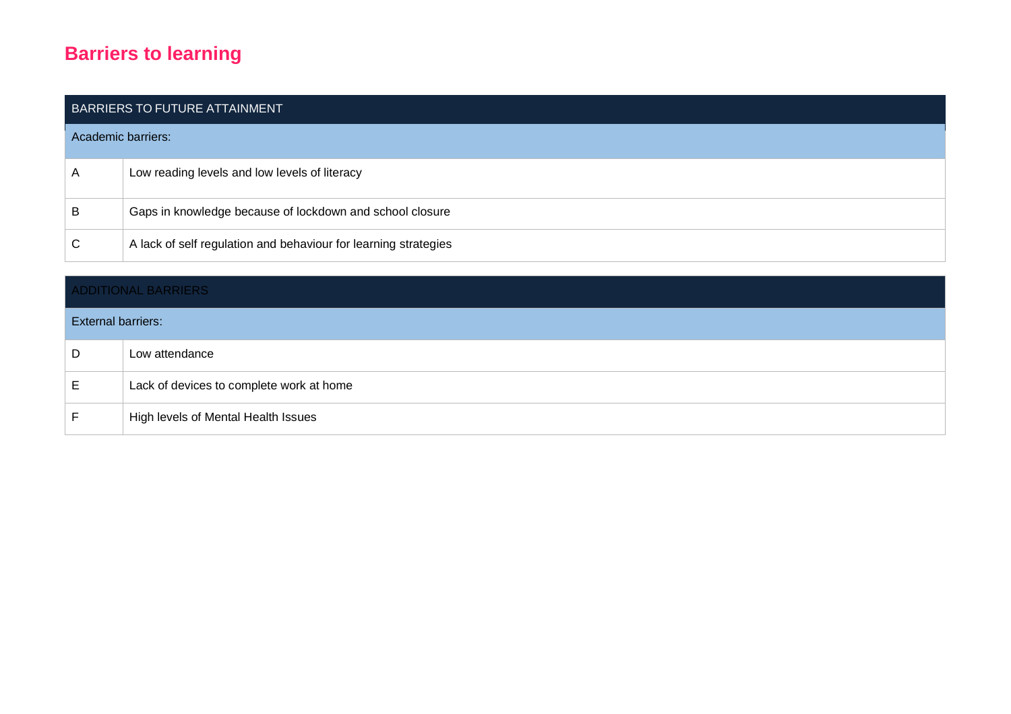## **Barriers to learning**

| BARRIERS TO FUTURE ATTAINMENT |                                                                 |  |  |
|-------------------------------|-----------------------------------------------------------------|--|--|
| Academic barriers:            |                                                                 |  |  |
| Α                             | Low reading levels and low levels of literacy                   |  |  |
| B                             | Gaps in knowledge because of lockdown and school closure        |  |  |
| C                             | A lack of self regulation and behaviour for learning strategies |  |  |

| <b>ADDITIONAL BARRIERS</b> |                                          |  |  |
|----------------------------|------------------------------------------|--|--|
| <b>External barriers:</b>  |                                          |  |  |
| D                          | Low attendance                           |  |  |
| Е                          | Lack of devices to complete work at home |  |  |
|                            | High levels of Mental Health Issues      |  |  |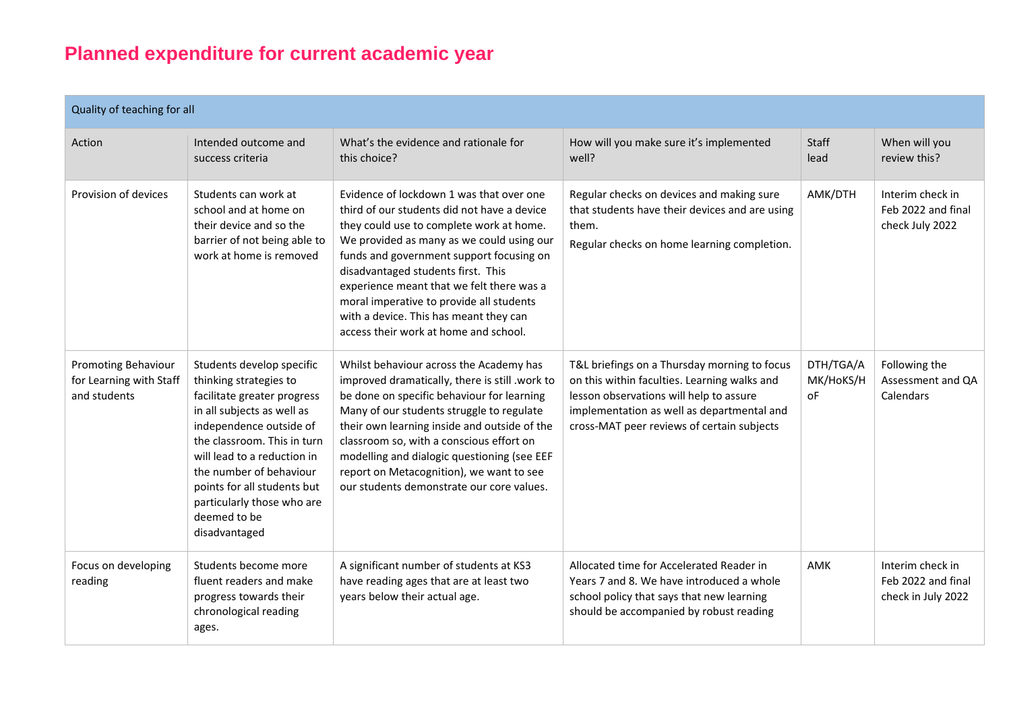## **Planned expenditure for current academic year**

| Quality of teaching for all                                           |                                                                                                                                                                                                                                                                                                                                    |                                                                                                                                                                                                                                                                                                                                                                                                                                                |                                                                                                                                                                                                                                     |                              |                                                              |
|-----------------------------------------------------------------------|------------------------------------------------------------------------------------------------------------------------------------------------------------------------------------------------------------------------------------------------------------------------------------------------------------------------------------|------------------------------------------------------------------------------------------------------------------------------------------------------------------------------------------------------------------------------------------------------------------------------------------------------------------------------------------------------------------------------------------------------------------------------------------------|-------------------------------------------------------------------------------------------------------------------------------------------------------------------------------------------------------------------------------------|------------------------------|--------------------------------------------------------------|
| Action                                                                | Intended outcome and<br>success criteria                                                                                                                                                                                                                                                                                           | What's the evidence and rationale for<br>this choice?                                                                                                                                                                                                                                                                                                                                                                                          | How will you make sure it's implemented<br>well?                                                                                                                                                                                    | Staff<br>lead                | When will you<br>review this?                                |
| Provision of devices                                                  | Students can work at<br>school and at home on<br>their device and so the<br>barrier of not being able to<br>work at home is removed                                                                                                                                                                                                | Evidence of lockdown 1 was that over one<br>third of our students did not have a device<br>they could use to complete work at home.<br>We provided as many as we could using our<br>funds and government support focusing on<br>disadvantaged students first. This<br>experience meant that we felt there was a<br>moral imperative to provide all students<br>with a device. This has meant they can<br>access their work at home and school. | Regular checks on devices and making sure<br>that students have their devices and are using<br>them.<br>Regular checks on home learning completion.                                                                                 | AMK/DTH                      | Interim check in<br>Feb 2022 and final<br>check July 2022    |
| <b>Promoting Behaviour</b><br>for Learning with Staff<br>and students | Students develop specific<br>thinking strategies to<br>facilitate greater progress<br>in all subjects as well as<br>independence outside of<br>the classroom. This in turn<br>will lead to a reduction in<br>the number of behaviour<br>points for all students but<br>particularly those who are<br>deemed to be<br>disadvantaged | Whilst behaviour across the Academy has<br>improved dramatically, there is still .work to<br>be done on specific behaviour for learning<br>Many of our students struggle to regulate<br>their own learning inside and outside of the<br>classroom so, with a conscious effort on<br>modelling and dialogic questioning (see EEF<br>report on Metacognition), we want to see<br>our students demonstrate our core values.                       | T&L briefings on a Thursday morning to focus<br>on this within faculties. Learning walks and<br>lesson observations will help to assure<br>implementation as well as departmental and<br>cross-MAT peer reviews of certain subjects | DTH/TGA/A<br>MK/HoKS/H<br>οF | Following the<br>Assessment and QA<br>Calendars              |
| Focus on developing<br>reading                                        | Students become more<br>fluent readers and make<br>progress towards their<br>chronological reading<br>ages.                                                                                                                                                                                                                        | A significant number of students at KS3<br>have reading ages that are at least two<br>years below their actual age.                                                                                                                                                                                                                                                                                                                            | Allocated time for Accelerated Reader in<br>Years 7 and 8. We have introduced a whole<br>school policy that says that new learning<br>should be accompanied by robust reading                                                       | AMK                          | Interim check in<br>Feb 2022 and final<br>check in July 2022 |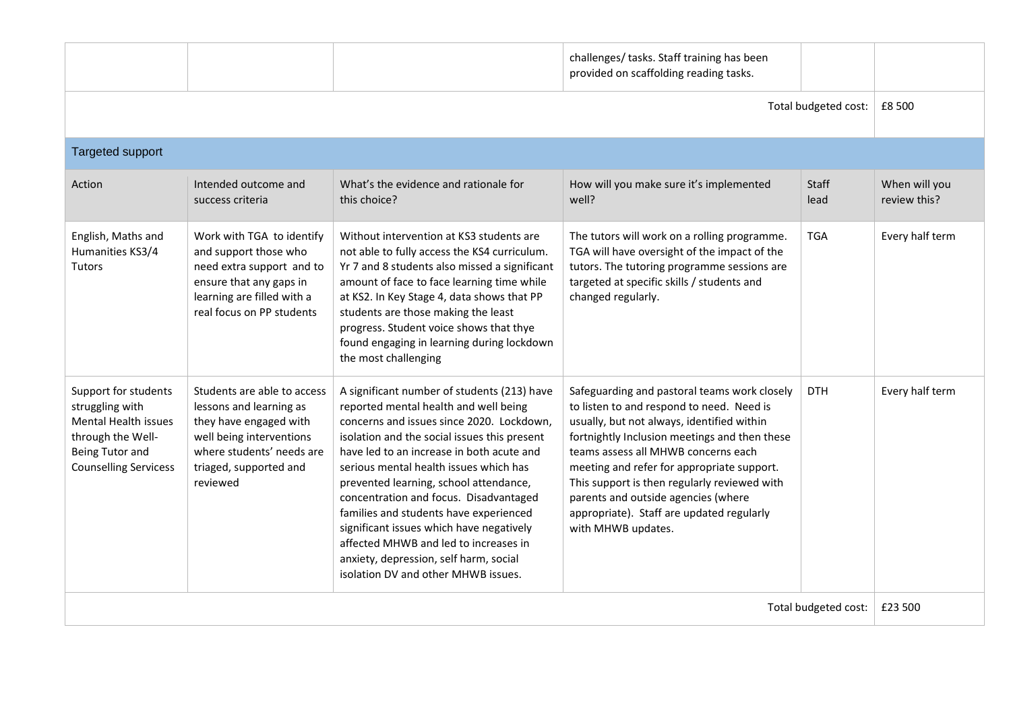|                                                                                                                                         |                                                                                                                                                                                 |                                                                                                                                                                                                                                                                                                                                                                                                                                                                                                                                                                              | challenges/ tasks. Staff training has been<br>provided on scaffolding reading tasks.                                                                                                                                                                                                                                                                                                                                                    |               |                               |
|-----------------------------------------------------------------------------------------------------------------------------------------|---------------------------------------------------------------------------------------------------------------------------------------------------------------------------------|------------------------------------------------------------------------------------------------------------------------------------------------------------------------------------------------------------------------------------------------------------------------------------------------------------------------------------------------------------------------------------------------------------------------------------------------------------------------------------------------------------------------------------------------------------------------------|-----------------------------------------------------------------------------------------------------------------------------------------------------------------------------------------------------------------------------------------------------------------------------------------------------------------------------------------------------------------------------------------------------------------------------------------|---------------|-------------------------------|
| Total budgeted cost:                                                                                                                    |                                                                                                                                                                                 |                                                                                                                                                                                                                                                                                                                                                                                                                                                                                                                                                                              |                                                                                                                                                                                                                                                                                                                                                                                                                                         | £8 500        |                               |
| <b>Targeted support</b>                                                                                                                 |                                                                                                                                                                                 |                                                                                                                                                                                                                                                                                                                                                                                                                                                                                                                                                                              |                                                                                                                                                                                                                                                                                                                                                                                                                                         |               |                               |
| Action                                                                                                                                  | Intended outcome and<br>success criteria                                                                                                                                        | What's the evidence and rationale for<br>this choice?                                                                                                                                                                                                                                                                                                                                                                                                                                                                                                                        | How will you make sure it's implemented<br>well?                                                                                                                                                                                                                                                                                                                                                                                        | Staff<br>lead | When will you<br>review this? |
| English, Maths and<br>Humanities KS3/4<br><b>Tutors</b>                                                                                 | Work with TGA to identify<br>and support those who<br>need extra support and to<br>ensure that any gaps in<br>learning are filled with a<br>real focus on PP students           | Without intervention at KS3 students are<br>not able to fully access the KS4 curriculum.<br>Yr 7 and 8 students also missed a significant<br>amount of face to face learning time while<br>at KS2. In Key Stage 4, data shows that PP<br>students are those making the least<br>progress. Student voice shows that thye<br>found engaging in learning during lockdown<br>the most challenging                                                                                                                                                                                | The tutors will work on a rolling programme.<br>TGA will have oversight of the impact of the<br>tutors. The tutoring programme sessions are<br>targeted at specific skills / students and<br>changed regularly.                                                                                                                                                                                                                         | <b>TGA</b>    | Every half term               |
| Support for students<br>struggling with<br>Mental Health issues<br>through the Well-<br>Being Tutor and<br><b>Counselling Servicess</b> | Students are able to access<br>lessons and learning as<br>they have engaged with<br>well being interventions<br>where students' needs are<br>triaged, supported and<br>reviewed | A significant number of students (213) have<br>reported mental health and well being<br>concerns and issues since 2020. Lockdown,<br>isolation and the social issues this present<br>have led to an increase in both acute and<br>serious mental health issues which has<br>prevented learning, school attendance,<br>concentration and focus. Disadvantaged<br>families and students have experienced<br>significant issues which have negatively<br>affected MHWB and led to increases in<br>anxiety, depression, self harm, social<br>isolation DV and other MHWB issues. | Safeguarding and pastoral teams work closely<br>to listen to and respond to need. Need is<br>usually, but not always, identified within<br>fortnightly Inclusion meetings and then these<br>teams assess all MHWB concerns each<br>meeting and refer for appropriate support.<br>This support is then regularly reviewed with<br>parents and outside agencies (where<br>appropriate). Staff are updated regularly<br>with MHWB updates. | <b>DTH</b>    | Every half term               |
| Total budgeted cost:                                                                                                                    |                                                                                                                                                                                 |                                                                                                                                                                                                                                                                                                                                                                                                                                                                                                                                                                              |                                                                                                                                                                                                                                                                                                                                                                                                                                         | £23 500       |                               |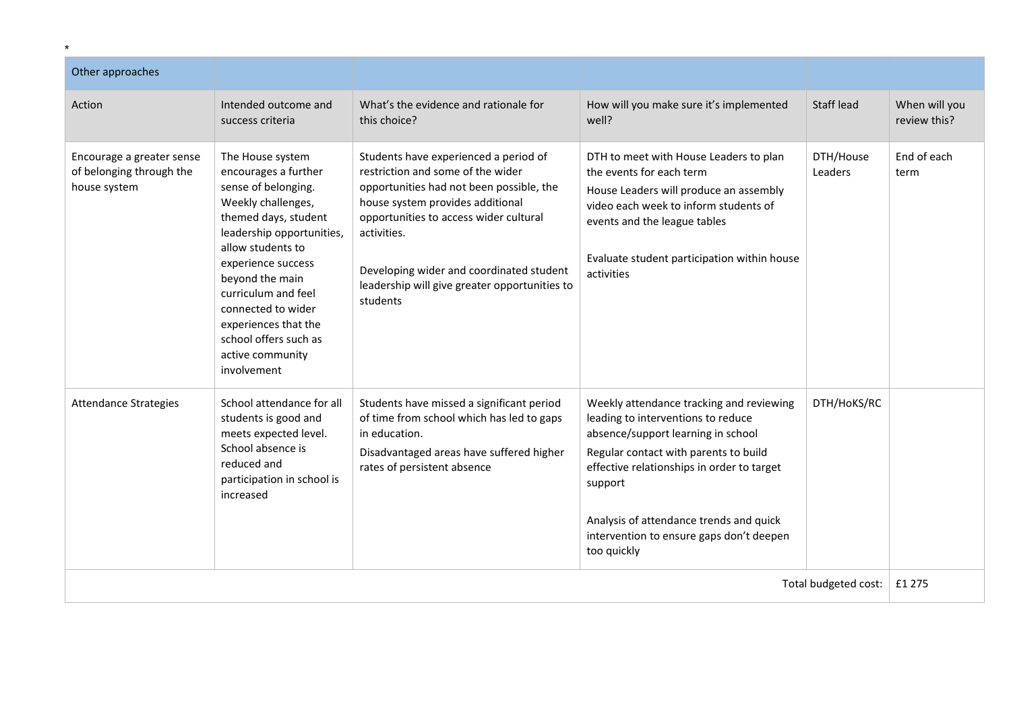| Other approaches                                                      |                                                                                                                                                                                                                                                                                                                                           |                                                                                                                                                                                                                                                                                                                              |                                                                                                                                                                                                                                                                                                                              |                             |                               |
|-----------------------------------------------------------------------|-------------------------------------------------------------------------------------------------------------------------------------------------------------------------------------------------------------------------------------------------------------------------------------------------------------------------------------------|------------------------------------------------------------------------------------------------------------------------------------------------------------------------------------------------------------------------------------------------------------------------------------------------------------------------------|------------------------------------------------------------------------------------------------------------------------------------------------------------------------------------------------------------------------------------------------------------------------------------------------------------------------------|-----------------------------|-------------------------------|
| Action                                                                | Intended outcome and<br>success criteria                                                                                                                                                                                                                                                                                                  | What's the evidence and rationale for<br>this choice?                                                                                                                                                                                                                                                                        | How will you make sure it's implemented<br>well?                                                                                                                                                                                                                                                                             | Staff lead                  | When will you<br>review this? |
| Encourage a greater sense<br>of belonging through the<br>house system | The House system<br>encourages a further<br>sense of belonging.<br>Weekly challenges,<br>themed days, student<br>leadership opportunities,<br>allow students to<br>experience success<br>beyond the main<br>curriculum and feel<br>connected to wider<br>experiences that the<br>school offers such as<br>active community<br>involvement | Students have experienced a period of<br>restriction and some of the wider<br>opportunities had not been possible, the<br>house system provides additional<br>opportunities to access wider cultural<br>activities.<br>Developing wider and coordinated student<br>leadership will give greater opportunities to<br>students | DTH to meet with House Leaders to plan<br>the events for each term<br>House Leaders will produce an assembly<br>video each week to inform students of<br>events and the league tables<br>Evaluate student participation within house<br>activities                                                                           | DTH/House<br><b>Leaders</b> | End of each<br>term           |
| <b>Attendance Strategies</b>                                          | School attendance for all<br>students is good and<br>meets expected level.<br>School absence is<br>reduced and<br>participation in school is<br>increased                                                                                                                                                                                 | Students have missed a significant period<br>of time from school which has led to gaps<br>in education.<br>Disadvantaged areas have suffered higher<br>rates of persistent absence                                                                                                                                           | Weekly attendance tracking and reviewing<br>leading to interventions to reduce<br>absence/support learning in school<br>Regular contact with parents to build<br>effective relationships in order to target<br>support<br>Analysis of attendance trends and quick<br>intervention to ensure gaps don't deepen<br>too quickly | DTH/HoKS/RC                 |                               |
| Total budgeted cost:                                                  |                                                                                                                                                                                                                                                                                                                                           |                                                                                                                                                                                                                                                                                                                              |                                                                                                                                                                                                                                                                                                                              | £1 275                      |                               |

\*